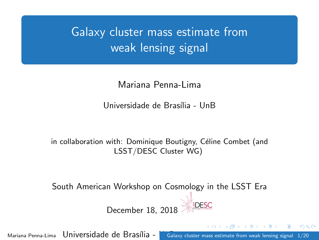<span id="page-0-0"></span>Galaxy cluster mass estimate from weak lensing signal

Mariana Penna-Lima

Universidade de Brasília - UnB

in collaboration with: Dominique Boutigny, Céline Combet (and LSST/DESC Cluster WG)

South American Workshop on Cosmology in the LSST Era

December 18, 2018

Mariana Penna-Lima Universidade de Brasília - **Unggala anglica estimate from weak lensing signal** 1/20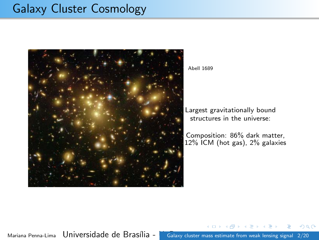# Galaxy Cluster Cosmology



Abell 1689

Largest gravitationally bound structures in the universe:

Composition: 86% dark matter, 12% ICM (hot gas), 2% galaxies

Mariana Penna-Lima Universidade de Brasília - **Unggalaxy cluster mass estimate from weak lensing signal** 2/20

 $QQ$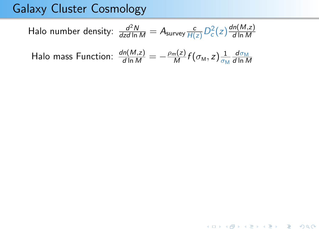# Galaxy Cluster Cosmology

Halo number density: 
$$
\frac{d^2N}{dz d \ln M} = A_{\text{survey}} \frac{c}{H(z)} D_c^2(z) \frac{dn(M,z)}{d \ln M}
$$
  
Halo mass Function: 
$$
\frac{dn(M,z)}{d \ln M} = -\frac{\rho_m(z)}{M} f(\sigma_M, z) \frac{1}{\sigma_M} \frac{d \sigma_M}{d \ln M}
$$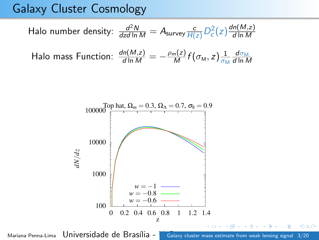# Galaxy Cluster Cosmology

Halo number density: 
$$
\frac{d^2N}{dz d \ln M} = A_{\text{survey}} \frac{c}{H(z)} D_c^2(z) \frac{dn(M,z)}{d \ln M}
$$
  
Halo mass Function: 
$$
\frac{dn(M,z)}{d \ln M} = -\frac{\rho_m(z)}{M} f(\sigma_M, z) \frac{1}{\sigma_M} \frac{d \sigma_M}{d \ln M}
$$

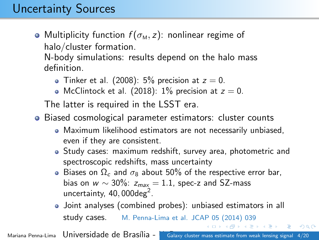# Uncertainty Sources

• Multiplicity function  $f(\sigma_M, z)$ : nonlinear regime of halo/cluster formation.

N-body simulations: results depend on the halo mass definition.

- $\bullet$  Tinker et al. (2008): 5% precision at  $z = 0$ .
- $\bullet$  McClintock et al. (2018): 1% precision at  $z=0$ .

The latter is required in the LSST era.

- Biased cosmological parameter estimators: cluster counts
	- Maximum likelihood estimators are not necessarily unbiased, even if they are consistent.
	- Study cases: maximum redshift, survey area, photometric and spectroscopic redshifts, mass uncertainty
	- **Biases on**  $\Omega_c$  **and**  $\sigma_8$  **about 50% of the respective error bar,** bias on  $w \sim 30\%$ :  $z_{max} = 1.1$ , spec-z and SZ-mass uncertainty,  $40,000$ deg<sup>2</sup>.
	- Joint analyses (combined probes): unbiased estimators in all study cases. M. Penna-Lima et al. JCAP 05 (2014) 039

Mariana Penna-Lima Universidade de Brasília - **Unggalaxy cluster mass estimate from weak lensing signal 4/20** 

 $\left\{ \left\vert \left\langle \left\langle \left\langle \mathbf{q} \right\rangle \right\rangle \right\rangle \right\} \right\} \left\{ \left\langle \left\langle \mathbf{q} \right\rangle \right\rangle \right\} \left\{ \left\langle \mathbf{q} \right\rangle \right\} \right\}$ 

 $2990$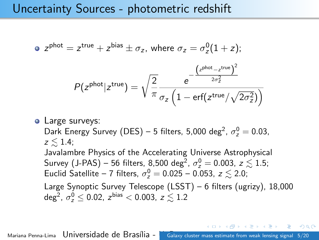## Uncertainty Sources - photometric redshift

$$
\bullet \ \ z^{\text{phot}} = z^{\text{true}} + z^{\text{bias}} \pm \sigma_z, \text{ where } \sigma_z = \sigma_z^0 (1+z);
$$

$$
P(z^{\text{phot}}|z^{\text{true}}) = \sqrt{\frac{2}{\pi}} \frac{e^{-\frac{(z^{\text{phot}} - z^{\text{true}})^2}{2\sigma_z^2}}}{\sigma_z \left(1 - \text{erf}(z^{\text{true}}/\sqrt{2\sigma_z^2})\right)}
$$

• Large surveys: Dark Energy Survey (DES) – 5 filters, 5,000 deg<sup>2</sup>,  $\sigma_z^0 = 0.03$ ,  $z \leq 1.4$ ; Javalambre Physics of the Accelerating Universe Astrophysical Survey (J-PAS) – 56 filters, 8,500 deg<sup>2</sup>,  $\sigma_z^0 =$  0.003,  $z \lesssim 1.5;$ Euclid Satellite – 7 filters,  $\sigma_z^0 = 0.025$  – 0.053,  $z \lesssim 2.0$ ; Large Synoptic Survey Telescope (LSST) – 6 filters (ugrizy), 18,000 deg<sup>2</sup>,  $\sigma_z^0 \le 0.02$ ,  $z^{\text{bias}} < 0.003$ ,  $z \lesssim 1.2$ 

Mariana Penna-Lima Universidade de Brasília - [Galaxy cluster mass estimate from weak lensing signal](#page-0-0) 5/20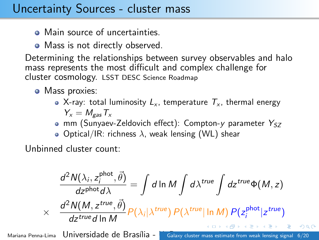## Uncertainty Sources - cluster mass

- Main source of uncertainties.
- Mass is not directly observed.

Determining the relationships between survey observables and halo mass represents the most difficult and complex challenge for cluster cosmology. LSST DESC Science Roadmap

Mass proxies:

- X-ray: total luminosity  $L_x$ , temperature  $T_x$ , thermal energy  $Y_{x} = M_{gas}T_{x}$
- mm (Sunyaev-Zeldovich effect): Compton-y parameter  $Y_{SZ}$

 $\bullet$  Optical/IR: richness  $\lambda$ , weak lensing (WL) shear

Unbinned cluster count:

$$
\frac{d^2N(\lambda_i, z_i^{\text{phot}}, \vec{\theta})}{dz^{\text{phot}}d\lambda} = \int d\ln M \int d\lambda^{\text{true}} \int dz^{\text{true}} \Phi(M, z)
$$
  
 
$$
\times \frac{d^2N(M, z^{\text{true}}, \vec{\theta})}{dz^{\text{true}}d\ln M} P(\lambda_i|\lambda^{\text{true}}) P(\lambda^{\text{true}}|\ln M) P(z_i^{\text{phot}}|z^{\text{true}})
$$

Mariana Penna-Lima Universidade de Brasília - [Galaxy cluster mass estimate from weak lensing signal](#page-0-0) 6/20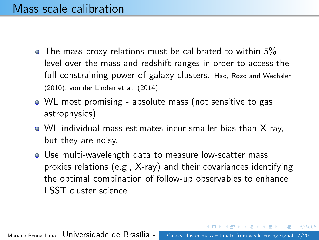## Mass scale calibration

- $\bullet$  The mass proxy relations must be calibrated to within 5% level over the mass and redshift ranges in order to access the full constraining power of galaxy clusters. Hao, Rozo and Wechsler (2010), von der Linden et al. (2014)
- WL most promising absolute mass (not sensitive to gas astrophysics).
- WL individual mass estimates incur smaller bias than X-ray, but they are noisy.
- Use multi-wavelength data to measure low-scatter mass proxies relations (e.g., X-ray) and their covariances identifying the optimal combination of follow-up observables to enhance LSST cluster science.

 $200$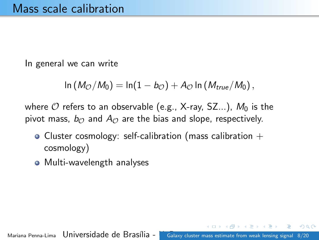In general we can write

$$
\ln(M_{\mathcal{O}}/M_0)=\ln(1-b_{\mathcal{O}})+A_{\mathcal{O}}\ln(M_{true}/M_0),
$$

where  $O$  refers to an observable (e.g., X-ray, SZ...),  $M_0$  is the pivot mass,  $b_{\odot}$  and  $A_{\odot}$  are the bias and slope, respectively.

- Cluster cosmology: self-calibration (mass calibration  $+$ cosmology)
- Multi-wavelength analyses

Mariana Penna-Lima Universidade de Brasília - **Unggalaxy cluster mass estimate from weak lensing signal 8/20**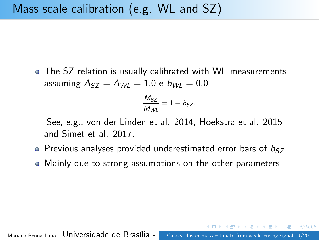The SZ relation is usually calibrated with WL measurements assuming  $A_{57} = A_{W1} = 1.0 e b_{W1} = 0.0$ 

$$
\frac{M_{SZ}}{M_{WL}} = 1 - b_{SZ}.
$$

See, e.g., von der Linden et al. 2014, Hoekstra et al. 2015 and Simet et al. 2017.

- $\bullet$  Previous analyses provided underestimated error bars of  $b_{57}$ .
- Mainly due to strong assumptions on the other parameters.

Mariana Penna-Lima Universidade de Brasília - [Galaxy cluster mass estimate from weak lensing signal](#page-0-0) 9/20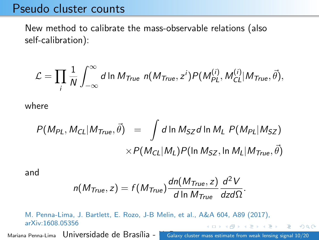#### Pseudo cluster counts

New method to calibrate the mass-observable relations (also self-calibration):

$$
\mathcal{L} = \prod_i \frac{1}{N} \int_{-\infty}^{\infty} d \ln M_{True} \; n(M_{True}, z^i) P(M_{PL}^{(i)}, M_{CL}^{(i)} | M_{True}, \vec{\theta}),
$$

where

$$
P(M_{PL}, M_{CL}|M_{True}, \vec{\theta}) = \int d \ln M_{SZ} d \ln M_L P(M_{PL}|M_{SZ})
$$
  
 
$$
\times P(M_{CL}|M_L) P(\ln M_{SZ}, \ln M_L|M_{True}, \vec{\theta})
$$

and

$$
n(M_{True}, z) = f(M_{True}) \frac{dn(M_{True}, z)}{d \ln M_{True}} \frac{d^2 V}{dz d\Omega}.
$$

M. Penna-Lima, J. Bartlett, E. Rozo, J-B Melin, et al., A&A 604, A89 (2017), arXiv:1608.05356 **何 ト ィヨ ト ィヨ ト** 

Mariana Penna-Lima Universidade de Brasília - [Galaxy cluster mass estimate from weak lensing signal](#page-0-0) 10/20

 $QQ$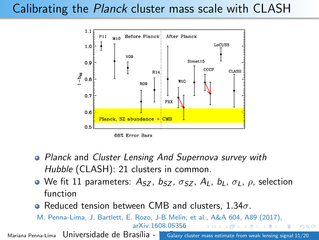# Calibrating the Planck cluster mass scale with CLASH



- Planck and Cluster Lensing And Supernova survey with Hubble (CLASH): 21 clusters in common.
- We fit 11 parameters:  $A_{SZ}$ ,  $b_{SZ}$ ,  $\sigma_{SZ}$ ,  $A_L$ ,  $b_L$ ,  $\sigma_L$ ,  $\rho$ , selection function
- $\bullet$  Reduced tension between CMB and clusters, 1.34 $\sigma$ .
- M. Penna-Lima, J. Bartlett, E. Rozo, J-B Melin, et al., A&A 604, A89 (2017), arXiv:1608.05356

Mariana Penna-Lima Universidade de Brasília - Unalaxy cluster mass estimate from weak lensing signal 11/20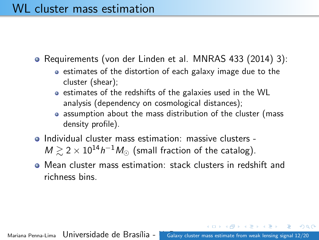## WL cluster mass estimation

• Requirements (von der Linden et al. MNRAS 433 (2014) 3):

- estimates of the distortion of each galaxy image due to the cluster (shear);
- estimates of the redshifts of the galaxies used in the WL analysis (dependency on cosmological distances);
- assumption about the mass distribution of the cluster (mass density profile).
- Individual cluster mass estimation: massive clusters  $M \gtrsim 2 \times 10^{14} h^{-1} M_{\odot}$  (small fraction of the catalog).
- Mean cluster mass estimation: stack clusters in redshift and richness bins.

 $QQ$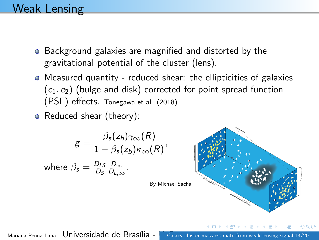## Weak Lensing

- Background galaxies are magnified and distorted by the gravitational potential of the cluster (lens).
- Measured quantity reduced shear: the ellipticities of galaxies  $(e_1, e_2)$  (bulge and disk) corrected for point spread function (PSF) effects. Tonegawa et al. (2018)

,

• Reduced shear (theory):

$$
g = \frac{\beta_s(z_b)\gamma_{\infty}(R)}{1 - \beta_s(z_b)\kappa_{\infty}(R)}
$$
  
where  $\beta_s = \frac{D_{LS}}{D_S} \frac{D_{\infty}}{D_{L,\infty}}$ .

By Michael Sachs

Mariana Penna-Lima Universidade de Brasília - Unabazo cluster mass estimate from weak lensing signal 13/20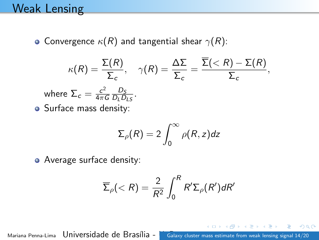## Weak Lensing

 $\bullet$ 

• Convergence  $\kappa(R)$  and tangential shear  $\gamma(R)$ :

$$
\kappa(R) = \frac{\Sigma(R)}{\Sigma_c}, \quad \gamma(R) = \frac{\Delta\Sigma}{\Sigma_c} = \frac{\overline{\Sigma}(  
where  $\Sigma_c = \frac{c^2}{4\pi G} \frac{D_S}{D_L D_{LS}}$ .  
Surface mass density:
$$

$$
\Sigma_{\rho}(R)=2\int_0^{\infty}\rho(R,z)dz
$$

• Average surface density:

$$
\overline{\Sigma}_{\rho}(
$$

Mariana Penna-Lima Universidade de Brasília - **Unitary cluster mass estimate from weak lensing signal 14/20**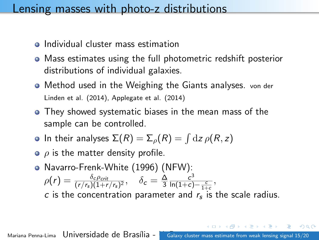#### Lensing masses with photo-z distributions

- Individual cluster mass estimation
- Mass estimates using the full photometric redshift posterior distributions of individual galaxies.
- Method used in the Weighing the Giants analyses. von der Linden et al. (2014), Applegate et al. (2014)
- They showed systematic biases in the mean mass of the sample can be controlled.
- In their analyses  $\Sigma(R) = \Sigma_\rho(R) = \int \mathrm{d}z \, \rho(R,z)$
- $\bullet$   $\rho$  is the matter density profile.
- Navarro-Frenk-White (1996) (NFW):  $\rho(r)=\frac{\delta_c \rho_{crit}}{(r/r_{\rm s})(1+r/r_{\rm s})^2},\quad \delta_c=\frac{\Delta}{3}$ 3  $rac{c^3}{\ln(1+c)-\frac{c}{1+c}},$ c is the concentration parameter and  $r_s$  is the scale radius.

Mariana Penna-Lima Universidade de Brasília - [Galaxy cluster mass estimate from weak lensing signal](#page-0-0) 15/20

 $\Omega$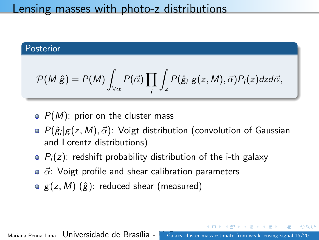#### Lensing masses with photo-z distributions

#### Posterior

$$
\mathcal{P}(M|\hat{g}) = P(M) \int_{\forall \alpha} P(\vec{\alpha}) \prod_i \int_z P(\hat{g}_i | g(z,M), \vec{\alpha}) P_i(z) dz d\vec{\alpha},
$$

- $\circ$   $P(M)$ : prior on the cluster mass
- $P(\hat{g}_i|g(z,M),\vec{\alpha})$ : Voigt distribution (convolution of Gaussian and Lorentz distributions)
- $\bullet$   $P_i(z)$ : redshift probability distribution of the i-th galaxy
- $\bullet$   $\vec{\alpha}$ : Voigt profile and shear calibration parameters
- $\circ$  g(z, M) ( $\hat{g}$ ): reduced shear (measured)

Mariana Penna-Lima Universidade de Brasília - [Galaxy cluster mass estimate from weak lensing signal](#page-0-0) 16/20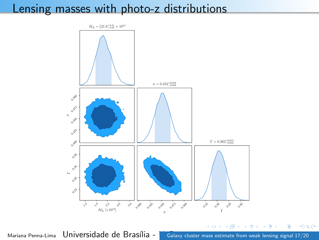## Lensing masses with photo-z distributions



Mariana Penna-Lima Universidade de Brasília - [Galaxy cluster mass estimate from weak lensing signal](#page-0-0) 17/20

Þ

∍

∍

 $\sim$   $\sim$ **In**   $2Q$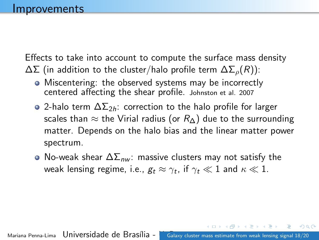Effects to take into account to compute the surface mass density  $\Delta\Sigma$  (in addition to the cluster/halo profile term  $\Delta\Sigma_o(R)$ ):

- Miscentering: the observed systems may be incorrectly centered affecting the shear profile. Johnston et al. 2007
- 2-halo term  $\Delta\Sigma_{2h}$ : correction to the halo profile for larger scales than  $\approx$  the Virial radius (or  $R_{\Delta}$ ) due to the surrounding matter. Depends on the halo bias and the linear matter power spectrum.
- $\bullet$  No-weak shear  $\Delta\Sigma_{\text{nw}}$ : massive clusters may not satisfy the weak lensing regime, i.e.,  $g_t \approx \gamma_t$ , if  $\gamma_t \ll 1$  and  $\kappa \ll 1$ .

 $\Omega$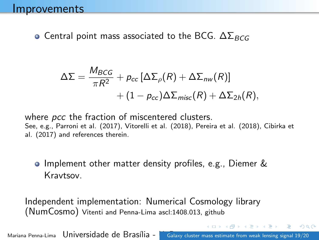• Central point mass associated to the BCG.  $\Delta\Sigma_{BCG}$ 

$$
\Delta\Sigma = \frac{M_{BCG}}{\pi R^2} + p_{cc} \left[\Delta\Sigma_{\rho}(R) + \Delta\Sigma_{nw}(R)\right] + (1 - p_{cc})\Delta\Sigma_{misc}(R) + \Delta\Sigma_{2h}(R),
$$

where *pcc* the fraction of miscentered clusters. See, e.g., Parroni et al. (2017), Vitorelli et al. (2018), Pereira et al. (2018), Cibirka et al. (2017) and references therein.

#### Implement other matter density profiles, e.g., Diemer & Kravtsov.

Independent implementation: Numerical Cosmology library (NumCosmo) Vitenti and Penna-Lima ascl:1408.013, github

Mariana Penna-Lima Universidade de Brasília - [Galaxy cluster mass estimate from weak lensing signal](#page-0-0) 19/20